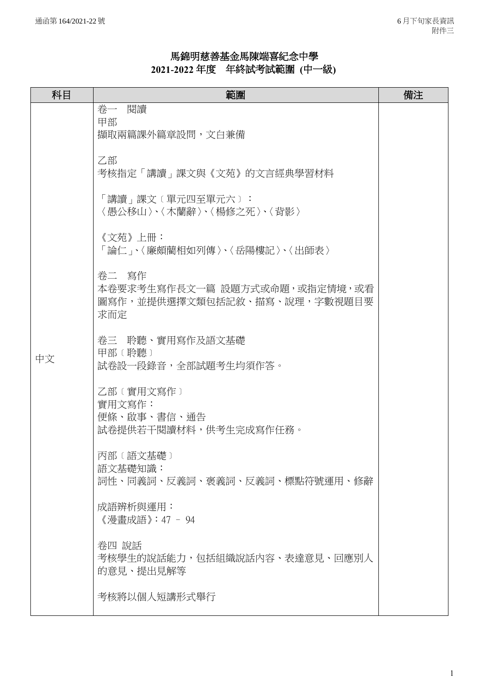## 馬錦明慈善基金馬陳端喜紀念中學 **2021-2022** 年度年終試考試範圍 **(**中一級**)**

| 科目 | 範圍                                                                            | 備注 |
|----|-------------------------------------------------------------------------------|----|
| 中文 | 卷一 閱讀<br>甲部<br>擷取兩篇課外篇章設問,文白兼備<br>乙部                                          |    |
|    | 考核指定「講讀」課文與《文苑》的文言經典學習材料<br>「講讀」課文〔單元四至單元六〕:<br>〈愚公移山〉、〈木蘭辭〉、〈楊修之死〉、〈背影〉      |    |
|    | 《文苑》上冊:<br>「論仁」、〈廉頗藺相如列傳〉、〈岳陽樓記〉、〈出師表〉                                        |    |
|    | 卷二 寫作<br>本卷要求考生寫作長文一篇 設題方式或命題,或指定情境,或看<br>圖寫作,並提供選擇文類包括記敘、描寫、說理,字數視題目要<br>求而定 |    |
|    | 卷三 聆聽、實用寫作及語文基礎<br>甲部 (聆聽)<br>試卷設一段錄音,全部試題考生均須作答。                             |    |
|    | 乙部 (實用文寫作)<br>實用文寫作:<br>便條、啟事、書信、通告<br>試卷提供若干閱讀材料,供考生完成寫作任務。                  |    |
|    | 丙部 (語文基礎)<br>語文基礎知識:<br>詞性、同義詞、反義詞、褒義詞、反義詞、標點符號運用、修辭                          |    |
|    | 成語辨析與運用:<br>《漫書成語》:47 - 94                                                    |    |
|    | 卷四 說話<br>考核學生的說話能力,包括組織說話內容、表達意見、回應別人<br>的意見、提出見解等                            |    |
|    | 考核將以個人短講形式舉行                                                                  |    |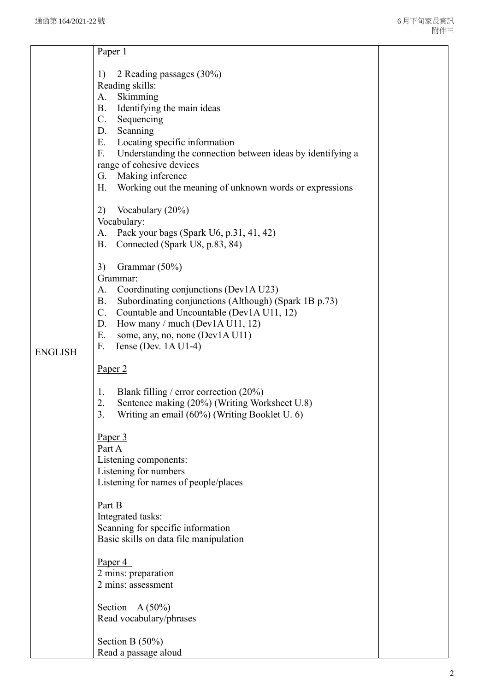|                | Paper 1                                                                                                                                                                                                                                                                                                                                                                                                                                                                                                                                                                                                                                                                                                                                                                                                                                                                                                                                                                                                                                                                                                                                                                                                                                                                                                                                                                                                       |  |
|----------------|---------------------------------------------------------------------------------------------------------------------------------------------------------------------------------------------------------------------------------------------------------------------------------------------------------------------------------------------------------------------------------------------------------------------------------------------------------------------------------------------------------------------------------------------------------------------------------------------------------------------------------------------------------------------------------------------------------------------------------------------------------------------------------------------------------------------------------------------------------------------------------------------------------------------------------------------------------------------------------------------------------------------------------------------------------------------------------------------------------------------------------------------------------------------------------------------------------------------------------------------------------------------------------------------------------------------------------------------------------------------------------------------------------------|--|
| <b>ENGLISH</b> | 2 Reading passages (30%)<br>1)<br>Reading skills:<br>A. Skimming<br>Identifying the main ideas<br>В.<br>C. Sequencing<br>D. Scanning<br>Locating specific information<br>Е.<br>F.<br>Understanding the connection between ideas by identifying a<br>range of cohesive devices<br>Making inference<br>G.<br>Working out the meaning of unknown words or expressions<br>Н.<br>Vocabulary (20%)<br>2)<br>Vocabulary:<br>Pack your bags (Spark U6, p.31, 41, 42)<br>А.<br>Connected (Spark U8, p.83, 84)<br>В.<br>3)<br>Grammar (50%)<br>Grammar:<br>Coordinating conjunctions (Dev1A U23)<br>А.<br>Subordinating conjunctions (Although) (Spark 1B p.73)<br>В.<br>Countable and Uncountable (Dev1A U11, 12)<br>C.<br>How many / much (Dev1A U11, 12)<br>D.<br>Е.<br>some, any, no, none (Dev1A U11)<br>F.<br>Tense (Dev. $1A U1-4$ )<br>Paper <sub>2</sub><br>Blank filling / error correction $(20\%)$<br>1.<br>Sentence making (20%) (Writing Worksheet U.8)<br>2.<br>Writing an email (60%) (Writing Booklet U. 6)<br>3.<br>Paper 3<br>Part A<br>Listening components:<br>Listening for numbers<br>Listening for names of people/places<br>Part B<br>Integrated tasks:<br>Scanning for specific information<br>Basic skills on data file manipulation<br>Paper $4$<br>2 mins: preparation<br>2 mins: assessment<br>Section $A(50\%)$<br>Read vocabulary/phrases<br>Section B $(50\%)$<br>Read a passage aloud |  |